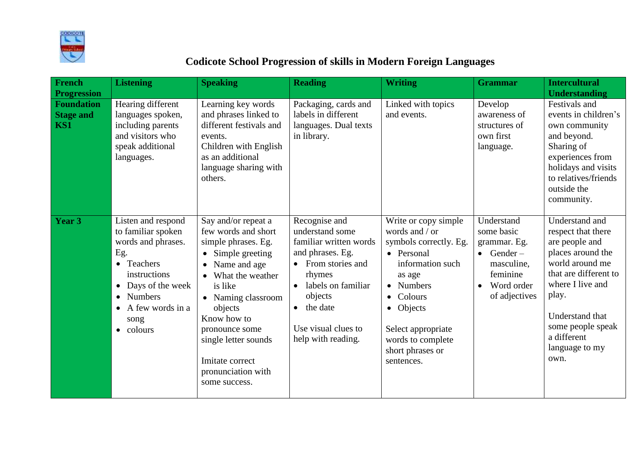

## **Codicote School Progression of skills in Modern Foreign Languages**

| French<br><b>Progression</b>          | <b>Listening</b>                                                                                                                                                                                             | <b>Speaking</b>                                                                                                                                                                                                                                                                               | <b>Reading</b>                                                                                                                                                                                             | <b>Writing</b>                                                                                                                                                                                                                   | <b>Grammar</b>                                                                                                                       | <b>Intercultural</b><br><b>Understanding</b>                                                                                                                                                                                          |
|---------------------------------------|--------------------------------------------------------------------------------------------------------------------------------------------------------------------------------------------------------------|-----------------------------------------------------------------------------------------------------------------------------------------------------------------------------------------------------------------------------------------------------------------------------------------------|------------------------------------------------------------------------------------------------------------------------------------------------------------------------------------------------------------|----------------------------------------------------------------------------------------------------------------------------------------------------------------------------------------------------------------------------------|--------------------------------------------------------------------------------------------------------------------------------------|---------------------------------------------------------------------------------------------------------------------------------------------------------------------------------------------------------------------------------------|
| Foundation<br><b>Stage and</b><br>KS1 | Hearing different<br>languages spoken,<br>including parents<br>and visitors who<br>speak additional<br>languages.                                                                                            | Learning key words<br>and phrases linked to<br>different festivals and<br>events.<br>Children with English<br>as an additional<br>language sharing with<br>others.                                                                                                                            | Packaging, cards and<br>labels in different<br>languages. Dual texts<br>in library.                                                                                                                        | Linked with topics<br>and events.                                                                                                                                                                                                | Develop<br>awareness of<br>structures of<br>own first<br>language.                                                                   | Festivals and<br>events in children's<br>own community<br>and beyond.<br>Sharing of<br>experiences from<br>holidays and visits<br>to relatives/friends<br>outside the<br>community.                                                   |
| <b>Year 3</b>                         | Listen and respond<br>to familiar spoken<br>words and phrases.<br>Eg.<br>• Teachers<br>instructions<br>Days of the week<br>$\bullet$<br><b>Numbers</b><br>$\bullet$<br>A few words in a<br>song<br>• colours | Say and/or repeat a<br>few words and short<br>simple phrases. Eg.<br>• Simple greeting<br>• Name and age<br>• What the weather<br>is like<br>• Naming classroom<br>objects<br>Know how to<br>pronounce some<br>single letter sounds<br>Imitate correct<br>pronunciation with<br>some success. | Recognise and<br>understand some<br>familiar written words<br>and phrases. Eg.<br>• From stories and<br>rhymes<br>labels on familiar<br>objects<br>• the date<br>Use visual clues to<br>help with reading. | Write or copy simple<br>words and / or<br>symbols correctly. Eg.<br>• Personal<br>information such<br>as age<br>• Numbers<br>• Colours<br>• Objects<br>Select appropriate<br>words to complete<br>short phrases or<br>sentences. | Understand<br>some basic<br>grammar. Eg.<br>$\bullet$ Gender –<br>masculine,<br>feminine<br>Word order<br>$\bullet$<br>of adjectives | Understand and<br>respect that there<br>are people and<br>places around the<br>world around me<br>that are different to<br>where I live and<br>play.<br>Understand that<br>some people speak<br>a different<br>language to my<br>own. |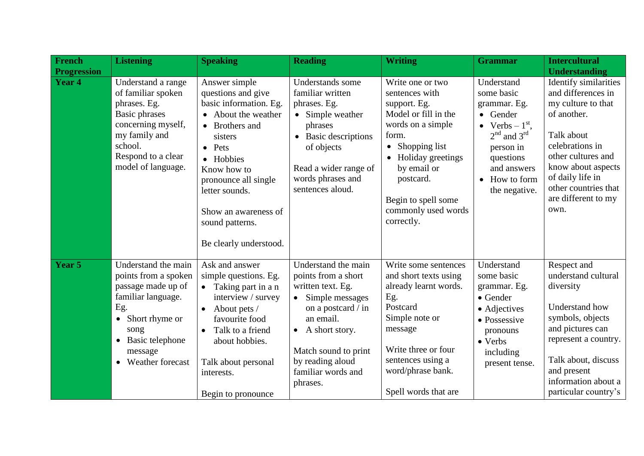| <b>French</b>      | <b>Listening</b>                                                                                                                                                                 | <b>Speaking</b>                                                                                                                                                                                                                                                                | <b>Reading</b>                                                                                                                                                                                                            | <b>Writing</b>                                                                                                                                                                                                                             | <b>Grammar</b>                                                                                                                                                         | <b>Intercultural</b>                                                                                                                                                                                                                     |
|--------------------|----------------------------------------------------------------------------------------------------------------------------------------------------------------------------------|--------------------------------------------------------------------------------------------------------------------------------------------------------------------------------------------------------------------------------------------------------------------------------|---------------------------------------------------------------------------------------------------------------------------------------------------------------------------------------------------------------------------|--------------------------------------------------------------------------------------------------------------------------------------------------------------------------------------------------------------------------------------------|------------------------------------------------------------------------------------------------------------------------------------------------------------------------|------------------------------------------------------------------------------------------------------------------------------------------------------------------------------------------------------------------------------------------|
| <b>Progression</b> |                                                                                                                                                                                  |                                                                                                                                                                                                                                                                                |                                                                                                                                                                                                                           |                                                                                                                                                                                                                                            |                                                                                                                                                                        | <b>Understanding</b>                                                                                                                                                                                                                     |
| <b>Year 4</b>      | Understand a range<br>of familiar spoken<br>phrases. Eg.<br>Basic phrases<br>concerning myself,<br>my family and<br>school.<br>Respond to a clear<br>model of language.          | Answer simple<br>questions and give<br>basic information. Eg.<br>• About the weather<br>• Brothers and<br>sisters<br>$\bullet$ Pets<br>• Hobbies<br>Know how to<br>pronounce all single<br>letter sounds.<br>Show an awareness of<br>sound patterns.<br>Be clearly understood. | Understands some<br>familiar written<br>phrases. Eg.<br>• Simple weather<br>phrases<br>• Basic descriptions<br>of objects<br>Read a wider range of<br>words phrases and<br>sentences aloud.                               | Write one or two<br>sentences with<br>support. Eg.<br>Model or fill in the<br>words on a simple<br>form.<br>• Shopping list<br>• Holiday greetings<br>by email or<br>postcard.<br>Begin to spell some<br>commonly used words<br>correctly. | Understand<br>some basic<br>grammar. Eg.<br>• Gender<br>• Verbs $-1st$ ,<br>$2nd$ and $3rd$<br>person in<br>questions<br>and answers<br>• How to form<br>the negative. | Identify similarities<br>and differences in<br>my culture to that<br>of another.<br>Talk about<br>celebrations in<br>other cultures and<br>know about aspects<br>of daily life in<br>other countries that<br>are different to my<br>own. |
| Year 5             | Understand the main<br>points from a spoken<br>passage made up of<br>familiar language.<br>Eg.<br>• Short rhyme or<br>song<br>• Basic telephone<br>message<br>• Weather forecast | Ask and answer<br>simple questions. Eg.<br>$\bullet$ Taking part in a n<br>interview / survey<br>About pets /<br>favourite food<br>Talk to a friend<br>about hobbies.<br>Talk about personal<br>interests.<br>Begin to pronounce                                               | Understand the main<br>points from a short<br>written text. Eg.<br>• Simple messages<br>on a postcard / in<br>an email.<br>• A short story.<br>Match sound to print<br>by reading aloud<br>familiar words and<br>phrases. | Write some sentences<br>and short texts using<br>already learnt words.<br>Eg.<br>Postcard<br>Simple note or<br>message<br>Write three or four<br>sentences using a<br>word/phrase bank.<br>Spell words that are                            | Understand<br>some basic<br>grammar. Eg.<br>$\bullet$ Gender<br>• Adjectives<br>• Possessive<br>pronouns<br>• Verbs<br>including<br>present tense.                     | Respect and<br>understand cultural<br>diversity<br>Understand how<br>symbols, objects<br>and pictures can<br>represent a country.<br>Talk about, discuss<br>and present<br>information about a<br>particular country's                   |